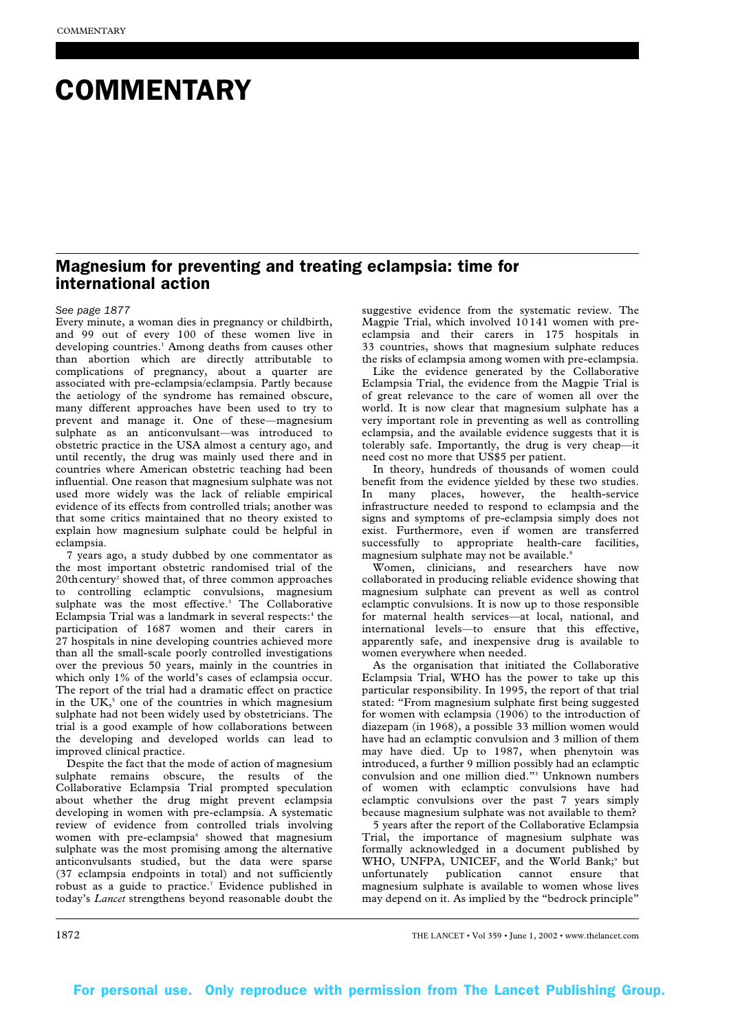# **COMMENTARY**

## Magnesium for preventing and treating eclampsia: time for international action

#### *See page 1877*

Every minute, a woman dies in pregnancy or childbirth, and 99 out of every 100 of these women live in developing countries.<sup>1</sup> Among deaths from causes other than abortion which are directly attributable to complications of pregnancy, about a quarter are associated with pre-eclampsia/eclampsia. Partly because the aetiology of the syndrome has remained obscure, many different approaches have been used to try to prevent and manage it. One of these—magnesium sulphate as an anticonvulsant—was introduced to obstetric practice in the USA almost a century ago, and until recently, the drug was mainly used there and in countries where American obstetric teaching had been influential. One reason that magnesium sulphate was not used more widely was the lack of reliable empirical evidence of its effects from controlled trials; another was that some critics maintained that no theory existed to explain how magnesium sulphate could be helpful in eclampsia.

7 years ago, a study dubbed by one commentator as the most important obstetric randomised trial of the 20th century<sup>2</sup> showed that, of three common approaches to controlling eclamptic convulsions, magnesium sulphate was the most effective.<sup>3</sup> The Collaborative Eclampsia Trial was a landmark in several respects:<sup>4</sup> the participation of 1687 women and their carers in 27 hospitals in nine developing countries achieved more than all the small-scale poorly controlled investigations over the previous 50 years, mainly in the countries in which only 1% of the world's cases of eclampsia occur. The report of the trial had a dramatic effect on practice in the  $UK<sub>5</sub>$  one of the countries in which magnesium sulphate had not been widely used by obstetricians. The trial is a good example of how collaborations between the developing and developed worlds can lead to improved clinical practice.

Despite the fact that the mode of action of magnesium sulphate remains obscure, the results of the Collaborative Eclampsia Trial prompted speculation about whether the drug might prevent eclampsia developing in women with pre-eclampsia. A systematic review of evidence from controlled trials involving women with pre-eclampsia<sup>6</sup> showed that magnesium sulphate was the most promising among the alternative anticonvulsants studied, but the data were sparse (37 eclampsia endpoints in total) and not sufficiently robust as a guide to practice.7 Evidence published in today's *Lancet* strengthens beyond reasonable doubt the

suggestive evidence from the systematic review. The Magpie Trial, which involved 10 141 women with preeclampsia and their carers in 175 hospitals in 33 countries, shows that magnesium sulphate reduces the risks of eclampsia among women with pre-eclampsia.

Like the evidence generated by the Collaborative Eclampsia Trial, the evidence from the Magpie Trial is of great relevance to the care of women all over the world. It is now clear that magnesium sulphate has a very important role in preventing as well as controlling eclampsia, and the available evidence suggests that it is tolerably safe. Importantly, the drug is very cheap—it need cost no more that US\$5 per patient.

In theory, hundreds of thousands of women could benefit from the evidence yielded by these two studies. In many places, however, the health-service infrastructure needed to respond to eclampsia and the signs and symptoms of pre-eclampsia simply does not exist. Furthermore, even if women are transferred successfully to appropriate health-care facilities, magnesium sulphate may not be available.<sup>8</sup>

Women, clinicians, and researchers have now collaborated in producing reliable evidence showing that magnesium sulphate can prevent as well as control eclamptic convulsions. It is now up to those responsible for maternal health services—at local, national, and international levels—to ensure that this effective, apparently safe, and inexpensive drug is available to women everywhere when needed.

As the organisation that initiated the Collaborative Eclampsia Trial, WHO has the power to take up this particular responsibility. In 1995, the report of that trial stated: "From magnesium sulphate first being suggested for women with eclampsia (1906) to the introduction of diazepam (in 1968), a possible 33 million women would have had an eclamptic convulsion and 3 million of them may have died. Up to 1987, when phenytoin was introduced, a further 9 million possibly had an eclamptic convulsion and one million died."3 Unknown numbers of women with eclamptic convulsions have had eclamptic convulsions over the past 7 years simply because magnesium sulphate was not available to them?

5 years after the report of the Collaborative Eclampsia Trial, the importance of magnesium sulphate was formally acknowledged in a document published by WHO, UNFPA, UNICEF, and the World Bank;<sup>9</sup> but unfortunately publication cannot ensure that magnesium sulphate is available to women whose lives may depend on it. As implied by the "bedrock principle"

1872 THE LANCET • Vol 359 • June 1, 2002 • www.thelancet.com